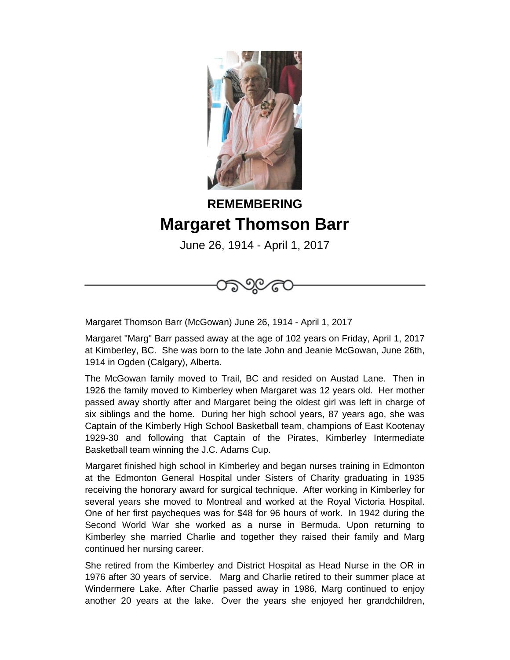

## **REMEMBERING Margaret Thomson Barr**

June 26, 1914 - April 1, 2017



Margaret Thomson Barr (McGowan) June 26, 1914 - April 1, 2017

Margaret "Marg" Barr passed away at the age of 102 years on Friday, April 1, 2017 at Kimberley, BC. She was born to the late John and Jeanie McGowan, June 26th, 1914 in Ogden (Calgary), Alberta.

The McGowan family moved to Trail, BC and resided on Austad Lane. Then in 1926 the family moved to Kimberley when Margaret was 12 years old. Her mother passed away shortly after and Margaret being the oldest girl was left in charge of six siblings and the home. During her high school years, 87 years ago, she was Captain of the Kimberly High School Basketball team, champions of East Kootenay 1929-30 and following that Captain of the Pirates, Kimberley Intermediate Basketball team winning the J.C. Adams Cup.

Margaret finished high school in Kimberley and began nurses training in Edmonton at the Edmonton General Hospital under Sisters of Charity graduating in 1935 receiving the honorary award for surgical technique. After working in Kimberley for several years she moved to Montreal and worked at the Royal Victoria Hospital. One of her first paycheques was for \$48 for 96 hours of work. In 1942 during the Second World War she worked as a nurse in Bermuda. Upon returning to Kimberley she married Charlie and together they raised their family and Marg continued her nursing career.

She retired from the Kimberley and District Hospital as Head Nurse in the OR in 1976 after 30 years of service. Marg and Charlie retired to their summer place at Windermere Lake. After Charlie passed away in 1986, Marg continued to enjoy another 20 years at the lake. Over the years she enjoyed her grandchildren,